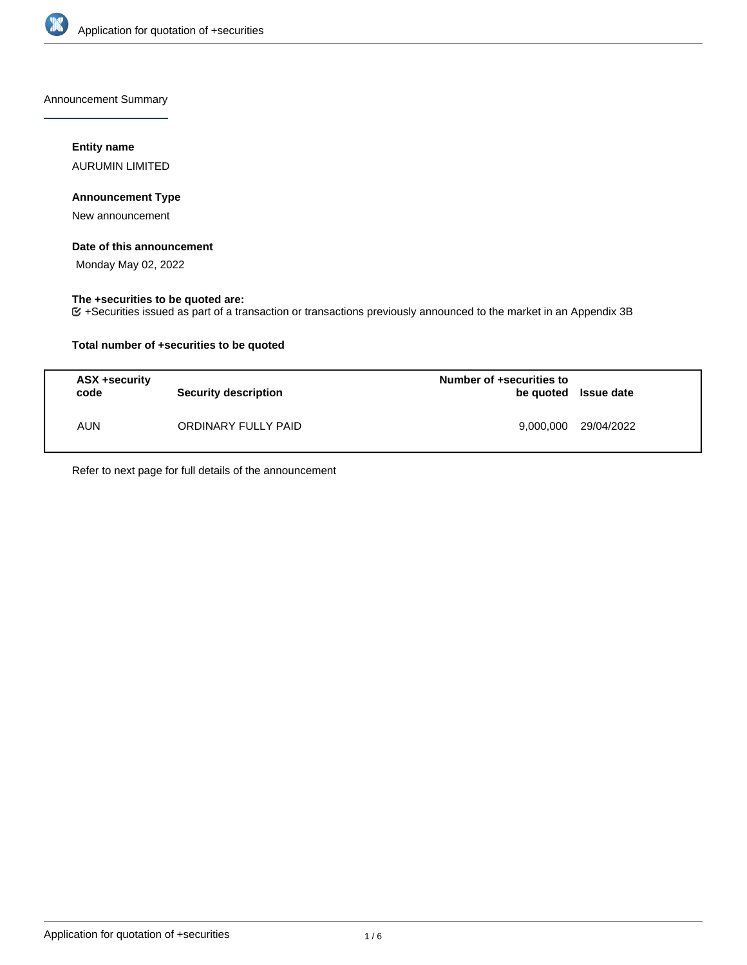

Announcement Summary

## **Entity name**

AURUMIN LIMITED

## **Announcement Type**

New announcement

### **Date of this announcement**

Monday May 02, 2022

## **The +securities to be quoted are:**

+Securities issued as part of a transaction or transactions previously announced to the market in an Appendix 3B

## **Total number of +securities to be quoted**

| ASX +security<br>code | <b>Security description</b> | Number of +securities to<br>be quoted Issue date |            |
|-----------------------|-----------------------------|--------------------------------------------------|------------|
| AUN                   | ORDINARY FULLY PAID         | 9,000,000                                        | 29/04/2022 |

Refer to next page for full details of the announcement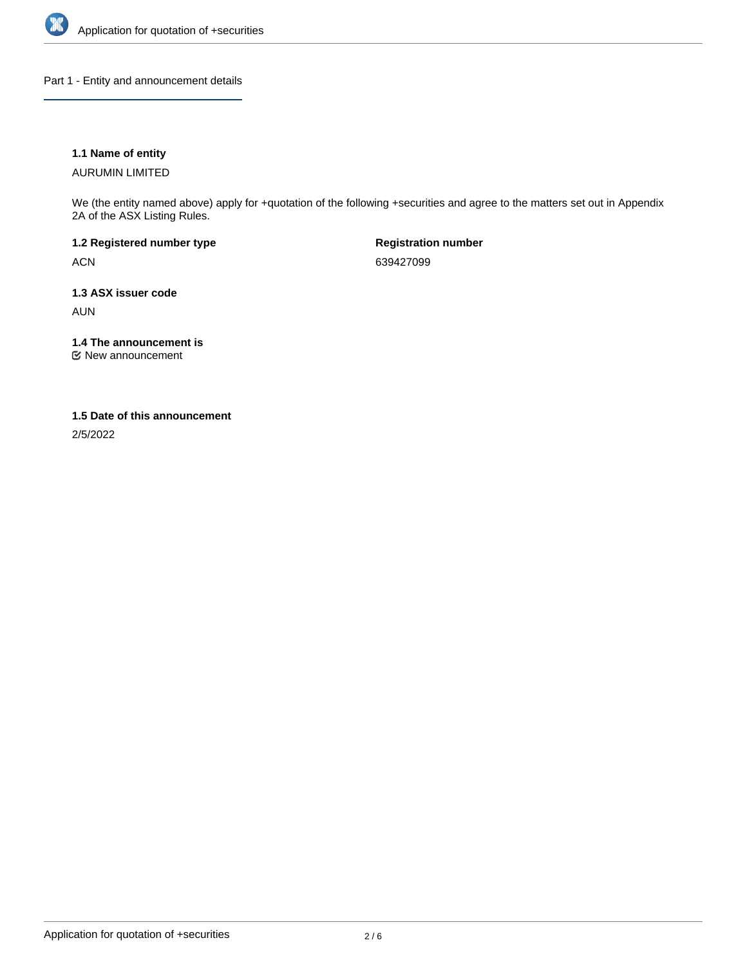

Part 1 - Entity and announcement details

## **1.1 Name of entity**

AURUMIN LIMITED

We (the entity named above) apply for +quotation of the following +securities and agree to the matters set out in Appendix 2A of the ASX Listing Rules.

**1.2 Registered number type** ACN

**Registration number** 639427099

**1.3 ASX issuer code**

AUN

**1.4 The announcement is**

New announcement

#### **1.5 Date of this announcement**

2/5/2022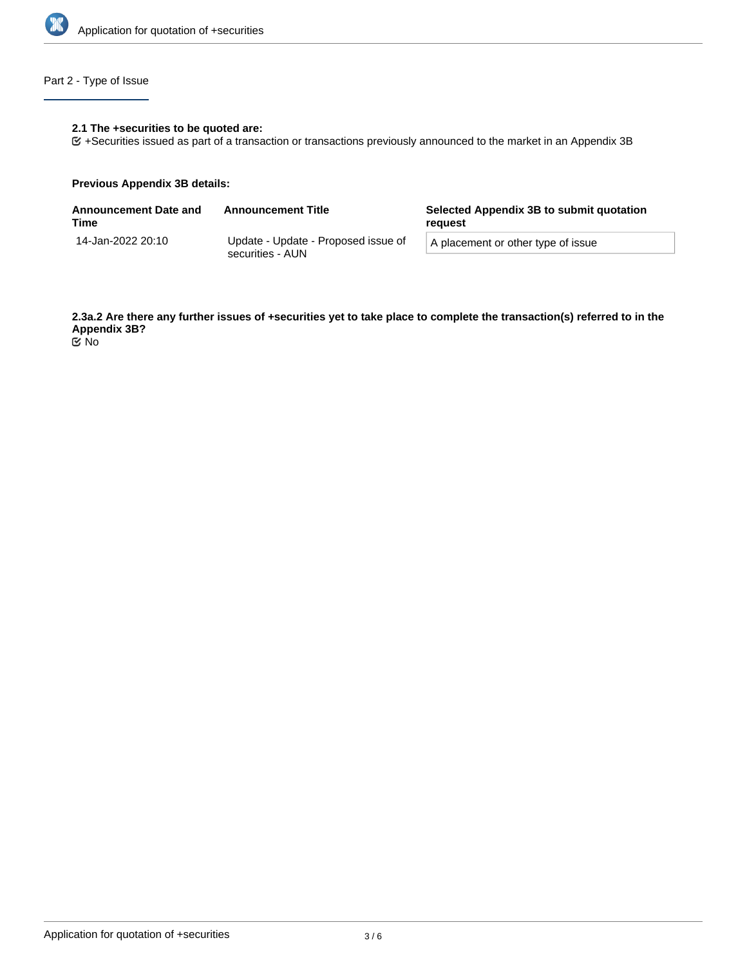

# Part 2 - Type of Issue

## **2.1 The +securities to be quoted are:**

+Securities issued as part of a transaction or transactions previously announced to the market in an Appendix 3B

#### **Previous Appendix 3B details:**

| <b>Announcement Date and</b><br>Time | <b>Announcement Title</b>                               | Selected Appendix 3B to submit quotation<br>reguest |  |
|--------------------------------------|---------------------------------------------------------|-----------------------------------------------------|--|
| 14-Jan-2022 20:10                    | Update - Update - Proposed issue of<br>securities - AUN | A placement or other type of issue                  |  |

**2.3a.2 Are there any further issues of +securities yet to take place to complete the transaction(s) referred to in the Appendix 3B?** No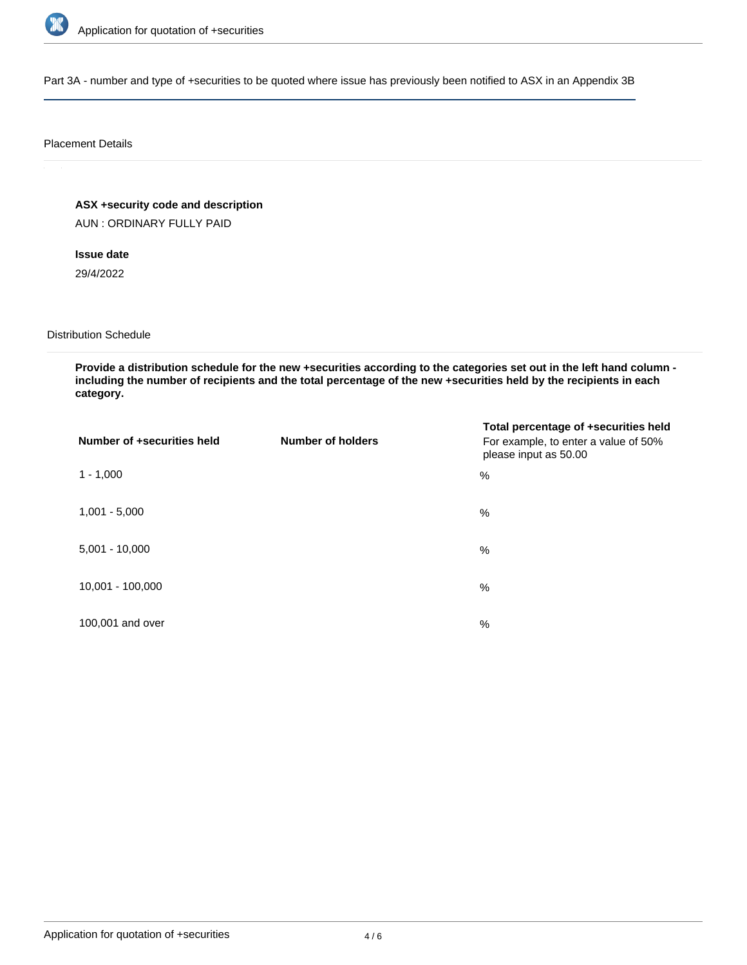

Part 3A - number and type of +securities to be quoted where issue has previously been notified to ASX in an Appendix 3B

#### Placement Details

**ASX +security code and description**

AUN : ORDINARY FULLY PAID

**Issue date** 29/4/2022

Distribution Schedule

**Provide a distribution schedule for the new +securities according to the categories set out in the left hand column including the number of recipients and the total percentage of the new +securities held by the recipients in each category.**

| Number of +securities held | <b>Number of holders</b> | Total percentage of +securities held<br>For example, to enter a value of 50%<br>please input as 50.00 |
|----------------------------|--------------------------|-------------------------------------------------------------------------------------------------------|
| $1 - 1,000$                |                          | %                                                                                                     |
| $1,001 - 5,000$            |                          | $\%$                                                                                                  |
| $5,001 - 10,000$           |                          | %                                                                                                     |
| 10,001 - 100,000           |                          | $\frac{0}{0}$                                                                                         |
| 100,001 and over           |                          | $\%$                                                                                                  |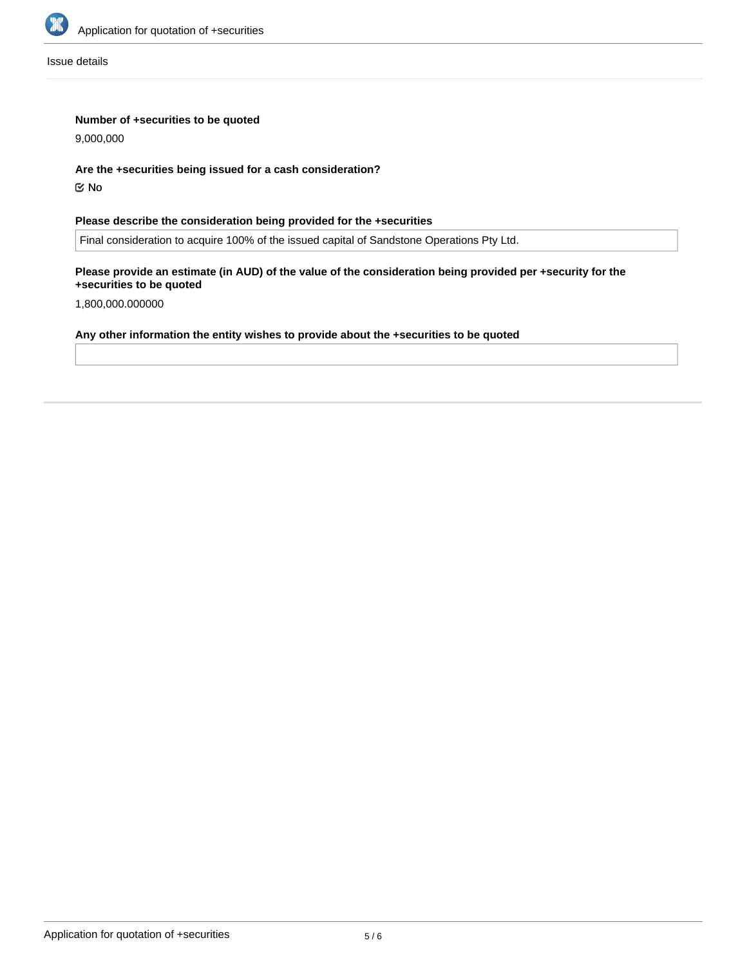

Issue details

## **Number of +securities to be quoted**

9,000,000

#### **Are the +securities being issued for a cash consideration?**

No

## **Please describe the consideration being provided for the +securities**

Final consideration to acquire 100% of the issued capital of Sandstone Operations Pty Ltd.

#### **Please provide an estimate (in AUD) of the value of the consideration being provided per +security for the +securities to be quoted**

1,800,000.000000

# **Any other information the entity wishes to provide about the +securities to be quoted**